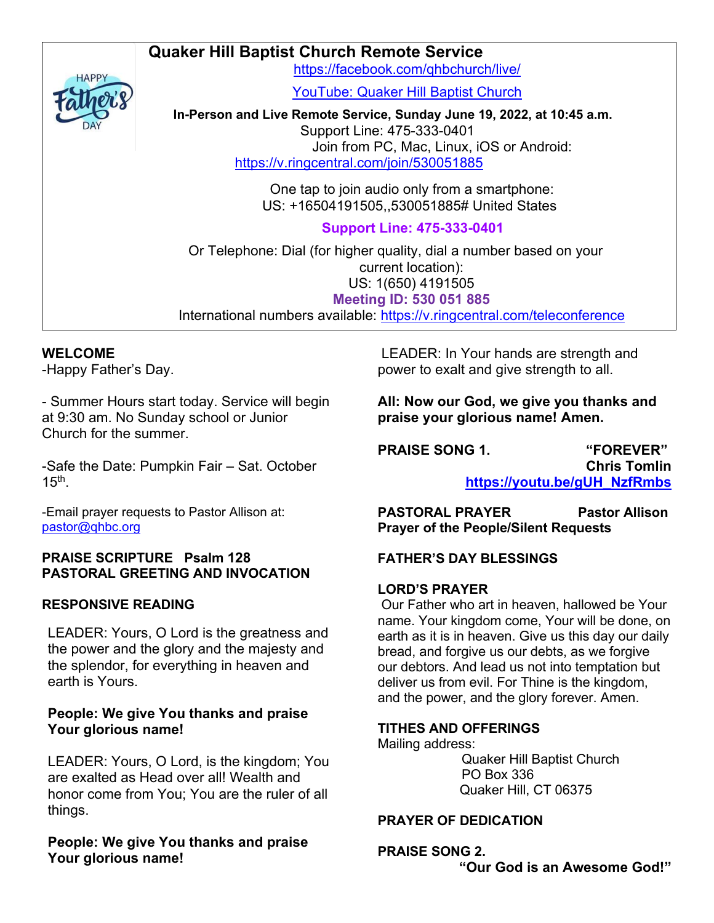# **Quaker Hill Baptist Church Remote Service**

https://facebook.com/qhbchurch/live/

YouTube: Quaker Hill Baptist Church

 **In-Person and Live Remote Service, Sunday June 19, 2022, at 10:45 a.m.** Support Line: 475-333-0401 Join from PC, Mac, Linux, iOS or Android: https://v.ringcentral.com/join/530051885

> One tap to join audio only from a smartphone: US: +16504191505,,530051885# United States **Support Line: 475-333-0401**

 Or Telephone: Dial (for higher quality, dial a number based on your current location): US: 1(650) 4191505 **Meeting ID: 530 051 885** International numbers available: https://v.ringcentral.com/teleconference

#### **WELCOME**

-Happy Father's Day.

- Summer Hours start today. Service will begin at 9:30 am. No Sunday school or Junior Church for the summer.

-Safe the Date: Pumpkin Fair – Sat. October  $15<sup>th</sup>$ .

-Email prayer requests to Pastor Allison at: pastor@qhbc.org

#### **PRAISE SCRIPTURE Psalm 128 PASTORAL GREETING AND INVOCATION**

#### **RESPONSIVE READING**

LEADER: Yours, O Lord is the greatness and the power and the glory and the majesty and the splendor, for everything in heaven and earth is Yours.

#### **People: We give You thanks and praise Your glorious name!**

LEADER: Yours, O Lord, is the kingdom; You are exalted as Head over all! Wealth and honor come from You; You are the ruler of all things.

#### **People: We give You thanks and praise Your glorious name!**

LEADER: In Your hands are strength and power to exalt and give strength to all.

**All: Now our God, we give you thanks and praise your glorious name! Amen.**

| <b>PRAISE SONG 1.</b> | <b>"FOREVER"</b>             |
|-----------------------|------------------------------|
|                       | <b>Chris Tomlin</b>          |
|                       | https://youtu.be/gUH_NzfRmbs |

**PASTORAL PRAYER Pastor Allison Prayer of the People/Silent Requests**

### **FATHER'S DAY BLESSINGS**

#### **LORD'S PRAYER**

Our Father who art in heaven, hallowed be Your name. Your kingdom come, Your will be done, on earth as it is in heaven. Give us this day our daily bread, and forgive us our debts, as we forgive our debtors. And lead us not into temptation but deliver us from evil. For Thine is the kingdom, and the power, and the glory forever. Amen.

#### **TITHES AND OFFERINGS**

Mailing address: Quaker Hill Baptist Church

 PO Box 336 Quaker Hill, CT 06375

#### **PRAYER OF DEDICATION**

**PRAISE SONG 2. "Our God is an Awesome God!"**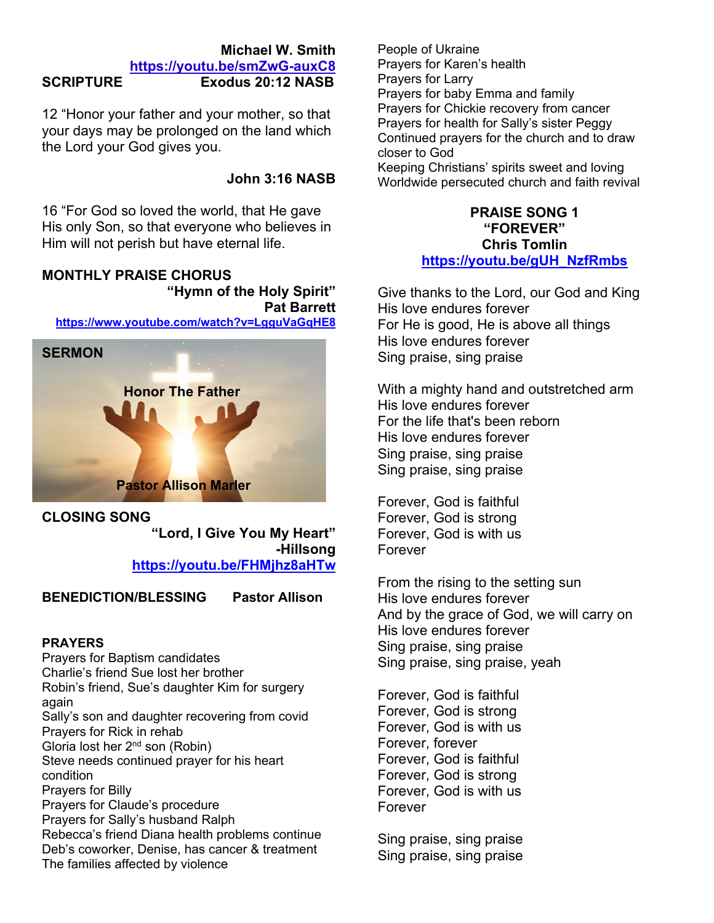#### **Michael W. Smith https://youtu.be/smZwG-auxC8 SCRIPTURE Exodus 20:12 NASB**

# 12 "Honor your father and your mother, so that

your days may be prolonged on the land which the Lord your God gives you.

#### **John 3:16 NASB**

16 "For God so loved the world, that He gave His only Son, so that everyone who believes in Him will not perish but have eternal life.

# **MONTHLY PRAISE CHORUS "Hymn of the Holy Spirit"**

 **Pat Barrett**

**https://www.youtube.com/watch?v=LgguVaGqHE8**



**CLOSING SONG**

**"Lord, I Give You My Heart" -Hillsong https://youtu.be/FHMjhz8aHTw**

**BENEDICTION/BLESSING Pastor Allison**

#### **PRAYERS**

Prayers for Baptism candidates Charlie's friend Sue lost her brother Robin's friend, Sue's daughter Kim for surgery again Sally's son and daughter recovering from covid Prayers for Rick in rehab Gloria lost her  $2^{nd}$  son (Robin) Steve needs continued prayer for his heart condition Prayers for Billy Prayers for Claude's procedure Prayers for Sally's husband Ralph Rebecca's friend Diana health problems continue Deb's coworker, Denise, has cancer & treatment The families affected by violence

People of Ukraine Prayers for Karen's health Prayers for Larry Prayers for baby Emma and family Prayers for Chickie recovery from cancer Prayers for health for Sally's sister Peggy Continued prayers for the church and to draw closer to God Keeping Christians' spirits sweet and loving Worldwide persecuted church and faith revival

#### **PRAISE SONG 1 "FOREVER" Chris Tomlin https://youtu.be/gUH\_NzfRmbs**

Give thanks to the Lord, our God and King His love endures forever For He is good, He is above all things His love endures forever Sing praise, sing praise

With a mighty hand and outstretched arm His love endures forever For the life that's been reborn His love endures forever Sing praise, sing praise Sing praise, sing praise

Forever, God is faithful Forever, God is strong Forever, God is with us Forever

From the rising to the setting sun His love endures forever And by the grace of God, we will carry on His love endures forever Sing praise, sing praise Sing praise, sing praise, yeah

Forever, God is faithful Forever, God is strong Forever, God is with us Forever, forever Forever, God is faithful Forever, God is strong Forever, God is with us Forever

Sing praise, sing praise Sing praise, sing praise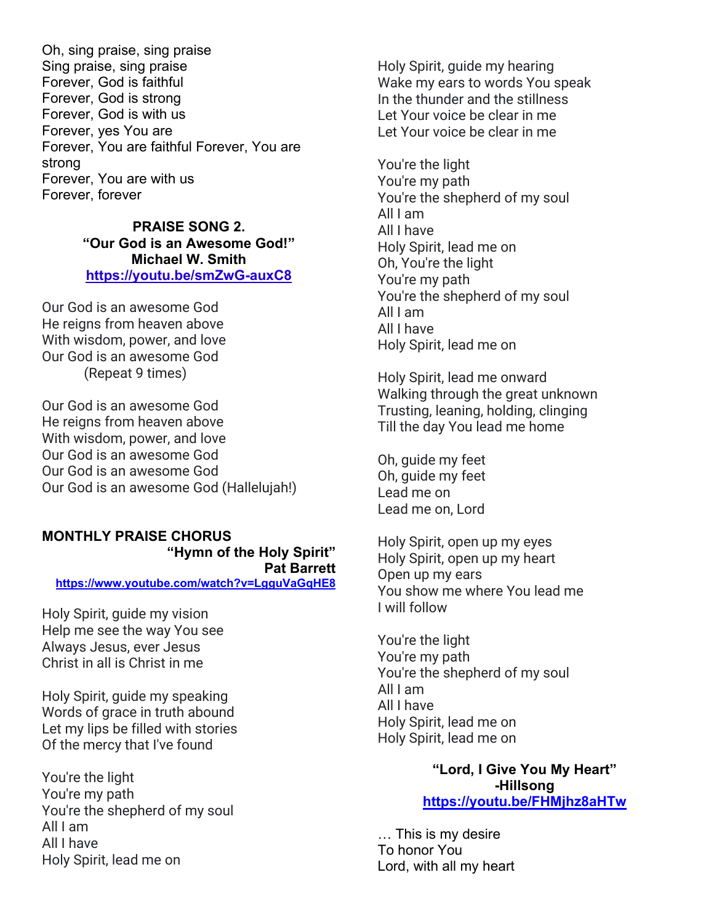Oh, sing praise, sing praise Sing praise, sing praise Forever, God is faithful Forever, God is strong Forever, God is with us Forever, yes You are Forever, You are faithful Forever, You are strong Forever, You are with us Forever, forever

> **PRAISE SONG 2. "Our God is an Awesome God!" Michael W. Smith https://youtu.be/smZwG-auxC8**

Our God is an awesome God He reigns from heaven above With wisdom, power, and love Our God is an awesome God (Repeat 9 times)

Our God is an awesome God He reigns from heaven above With wisdom, power, and love Our God is an awesome God Our God is an awesome God Our God is an awesome God (Hallelujah!)

# **MONTHLY PRAISE CHORUS "Hymn of the Holy Spirit" Pat Barrett**

**https://www.youtube.com/watch?v=LgguVaGqHE8**

Holy Spirit, guide my vision Help me see the way You see Always Jesus, ever Jesus Christ in all is Christ in me

Holy Spirit, guide my speaking Words of grace in truth abound Let my lips be filled with stories Of the mercy that I've found

You're the light You're my path You're the shepherd of my soul All I am All I have Holy Spirit, lead me on

Holy Spirit, guide my hearing Wake my ears to words You speak In the thunder and the stillness Let Your voice be clear in me Let Your voice be clear in me

You're the light You're my path You're the shepherd of my soul All I am All I have Holy Spirit, lead me on Oh, You're the light You're my path You're the shepherd of my soul All I am All I have Holy Spirit, lead me on

Holy Spirit, lead me onward Walking through the great unknown Trusting, leaning, holding, clinging Till the day You lead me home

Oh, guide my feet Oh, guide my feet Lead me on Lead me on, Lord

Holy Spirit, open up my eyes Holy Spirit, open up my heart Open up my ears You show me where You lead me I will follow

You're the light You're my path You're the shepherd of my soul All I am All I have Holy Spirit, lead me on Holy Spirit, lead me on

> **"Lord, I Give You My Heart" -Hillsong https://youtu.be/FHMjhz8aHTw**

… This is my desire To honor You Lord, with all my heart